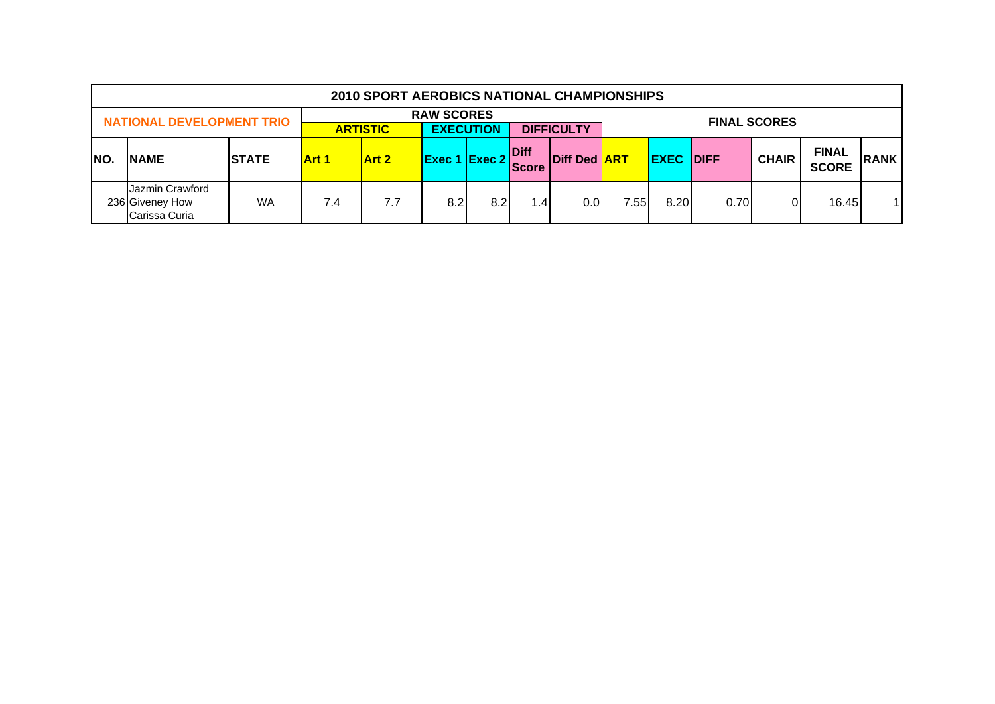|      |                                                     |              |              | <b>2010 SPORT AEROBICS NATIONAL CHAMPIONSHIPS</b> |                      |                  |                      |                     |                                             |      |      |                     |                              |              |
|------|-----------------------------------------------------|--------------|--------------|---------------------------------------------------|----------------------|------------------|----------------------|---------------------|---------------------------------------------|------|------|---------------------|------------------------------|--------------|
|      | <b>NATIONAL DEVELOPMENT TRIO</b>                    |              |              | <b>ARTISTIC</b>                                   | <b>RAW SCORES</b>    | <b>EXECUTION</b> |                      | <b>DIFFICULTY</b>   |                                             |      |      | <b>FINAL SCORES</b> |                              |              |
| INO. | <b>NAME</b>                                         | <b>STATE</b> | <b>Art 1</b> | <b>Art 2</b>                                      | <b>Exec 1 Exec 2</b> |                  | Diff<br><b>Score</b> | <b>Diff Ded ART</b> | <b>IDIFF</b><br><b>EXEC</b><br><b>CHAIR</b> |      |      |                     | <b>FINAL</b><br><b>SCORE</b> | <b>RANK</b>  |
|      | Jazmin Crawford<br>236 Giveney How<br>Carissa Curia | <b>WA</b>    | 7.4          | 7.7                                               | 8.2                  | 8.2              | 1.4.                 | 0.01                | 7.55                                        | 8.20 | 0.70 |                     | 16.45                        | $\mathbf{1}$ |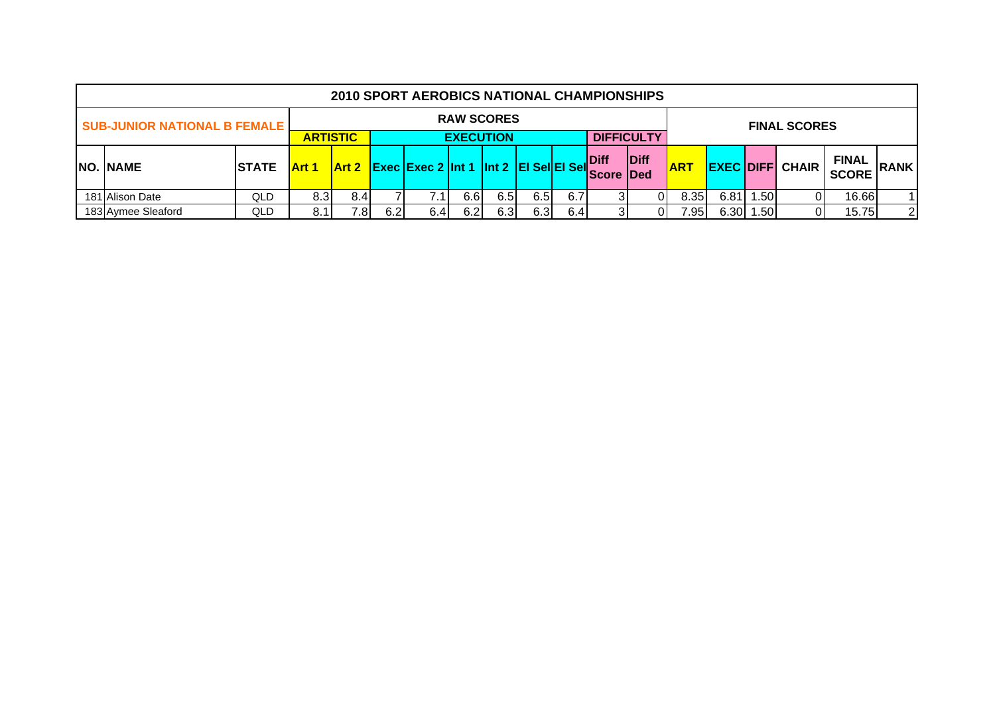|                                                          |               |                                                                                                 |     |  | <b>2010 SPORT AEROBICS NATIONAL CHAMPIONSHIPS</b>    |                   |     |      |     |                                  |                |            |                                                        |                  |                     |             |                |
|----------------------------------------------------------|---------------|-------------------------------------------------------------------------------------------------|-----|--|------------------------------------------------------|-------------------|-----|------|-----|----------------------------------|----------------|------------|--------------------------------------------------------|------------------|---------------------|-------------|----------------|
| <b>SUB-JUNIOR NATIONAL B FEMALE</b>                      |               |                                                                                                 |     |  |                                                      | <b>RAW SCORES</b> |     |      |     |                                  |                |            |                                                        |                  | <b>FINAL SCORES</b> |             |                |
| <b>DIFFICULTY</b><br><b>ARTISTIC</b><br><b>EXECUTION</b> |               |                                                                                                 |     |  |                                                      |                   |     |      |     |                                  |                |            |                                                        |                  |                     |             |                |
| NO. NAME                                                 | <b>ISTATE</b> | <b>Art 1</b>                                                                                    |     |  | $\vert$ Art 2 Exec Exec 2 Int 1 Int 2 EI SellEI Sell |                   |     |      |     | <b>Diff</b><br><b>Score IDed</b> | <b>Diff</b>    | <b>ART</b> | <b>FINAL</b><br><b>EXEC DIFF CHAIR</b><br><b>SCORE</b> |                  |                     | <b>RANK</b> |                |
| 181 Alison Date                                          | QLD           | 8.3 <sub>l</sub>                                                                                | 8.4 |  |                                                      | 6.6               | 6.5 | 6.5I | 6.7 |                                  |                | 8.35       | 6.81                                                   | .50 <sub>1</sub> |                     | 16.66       | $\overline{1}$ |
| 183 Aymee Sleaford                                       | QLD           | 6.3<br>$6.30$   1<br>6.2<br>6.3<br>.501<br>6.2<br>6.4<br>7.81<br>7.95 <sub>1</sub><br>6.4<br>01 |     |  |                                                      |                   |     |      |     | 15.75                            | $\overline{2}$ |            |                                                        |                  |                     |             |                |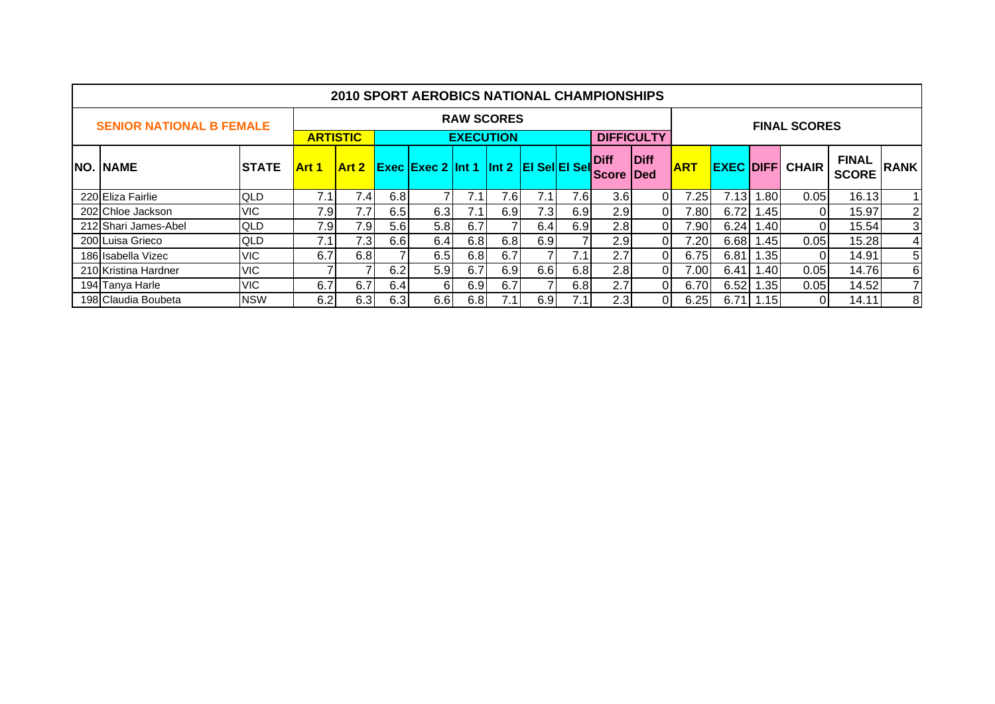|                                 |               |                 |              |     | <b>2010 SPORT AEROBICS NATIONAL CHAMPIONSHIPS</b> |                   |      |     |     |                              |                            |            |      |                  |                         |                              |             |
|---------------------------------|---------------|-----------------|--------------|-----|---------------------------------------------------|-------------------|------|-----|-----|------------------------------|----------------------------|------------|------|------------------|-------------------------|------------------------------|-------------|
| <b>SENIOR NATIONAL B FEMALE</b> |               |                 |              |     |                                                   | <b>RAW SCORES</b> |      |     |     |                              |                            |            |      |                  | <b>FINAL SCORES</b>     |                              |             |
|                                 |               | <b>ARTISTIC</b> |              |     |                                                   | <b>EXECUTION</b>  |      |     |     |                              | <b>DIFFICULTY</b>          |            |      |                  |                         |                              |             |
| <b>NO. NAME</b>                 | <b>ISTATE</b> | <b>Art 1</b>    | <b>Art 2</b> |     | <b>Exec Exec 2 Int 1 Int 2 EI SellEI Sell</b>     |                   |      |     |     | <b>Diff</b><br><b>IScore</b> | <b>Diff</b><br><b>IDed</b> | <b>ART</b> |      |                  | <b>EXEC DIFFI CHAIR</b> | <b>FINAL</b><br><b>SCORE</b> | <b>RANK</b> |
| 220 Eliza Fairlie               | <b>QLD</b>    | 7.1             | 7.4          | 6.8 | 7                                                 | 7.1               | 7.6I | 7.1 | 7.6 | 3.6                          | $\Omega$                   | 7.25       | 7.13 | 1.801            | 0.05                    | 16.13                        |             |
| 202 Chloe Jackson               | <b>VIC</b>    | 7.9             | 7.7          | 6.5 | 6.3                                               | 7.1               | 6.9  | 7.3 | 6.9 | 2.9                          | 0I                         | 7.801      | 6.72 | .45              | $\Omega$                | 15.97                        | 2           |
| 212 Shari James-Abel            | <b>QLD</b>    | 7.9             | 7.9          | 5.6 | 5.8 <sub>1</sub>                                  | 6.7               |      | 6.4 | 6.9 | 2.8                          | 0I                         | 7.90       | 6.24 | .401             | $\Omega$                | 15.54                        | 3           |
| 200 Luisa Grieco                | <b>QLD</b>    | 7.1             | 7.3          | 6.6 | 6.4                                               | 6.8               | 6.8  | 6.9 |     | 2.9 <sub>l</sub>             | 0I                         | 7.201      | 6.68 | .45              | 0.05                    | 15.28                        | 4           |
| 186 Isabella Vizec              | <b>VIC</b>    | 6.7             | 6.8          |     | 6.5                                               | 6.8               | 6.7  |     | 7.1 | 2.7                          | 0I                         | 6.75       | 6.81 | .35 <sub>l</sub> | $\Omega$                | 14.91                        | 5           |
| 210 Kristina Hardner            | <b>VIC</b>    |                 |              | 6.2 | 5.9                                               | 6.7               | 6.91 | 6.6 | 6.8 | 2.8                          | ΟI                         | 7.001      | 6.41 | .401             | 0.05                    | 14.76                        | 6           |
| 194 Tanya Harle                 | <b>VIC</b>    | 6.7             | 6.7          | 6.4 | 61                                                | 6.9               | 6.7  |     | 6.8 | 2.7                          | 0I                         | 6.70       | 6.52 | 1.35             | 0.05                    | 14.52                        |             |
| 198 Claudia Boubeta             | <b>NSW</b>    | 6.2             | 6.3          | 6.3 | 6.61                                              | 6.81              |      | 6.9 |     | 2.3                          | ΟI                         | 6.25       | 6.71 | l.15I            | 0 I                     | 14.11                        | 8           |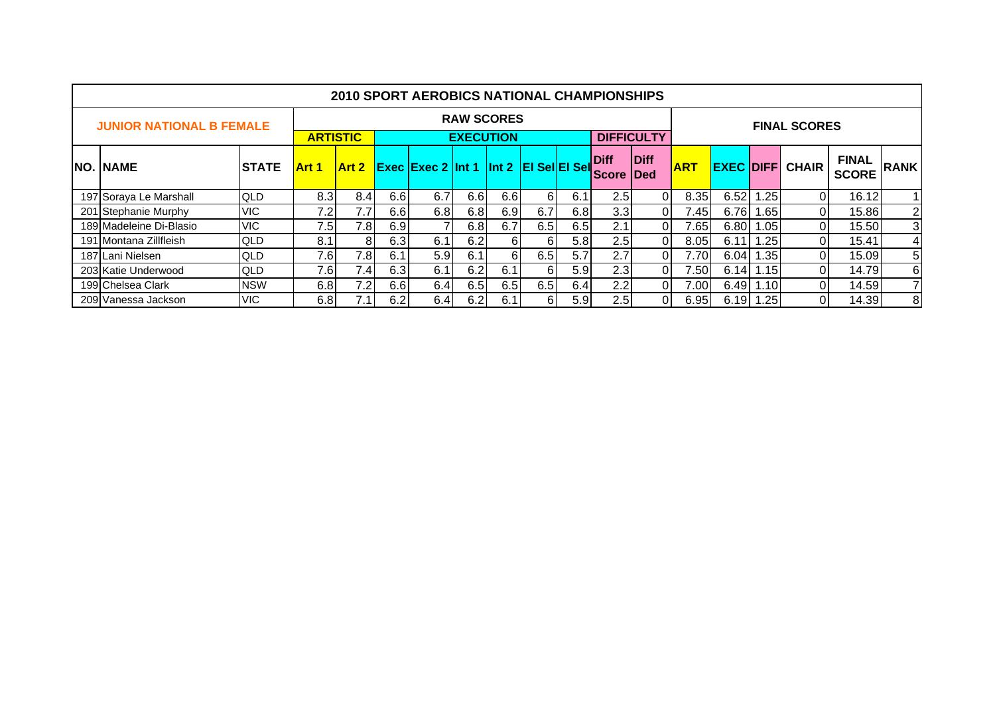|                                 |               |                 |              |     | <b>2010 SPORT AEROBICS NATIONAL CHAMPIONSHIPS</b> |                   |     |     |     |                              |                            |            |      |                  |                        |                              |             |
|---------------------------------|---------------|-----------------|--------------|-----|---------------------------------------------------|-------------------|-----|-----|-----|------------------------------|----------------------------|------------|------|------------------|------------------------|------------------------------|-------------|
| <b>JUNIOR NATIONAL B FEMALE</b> |               |                 |              |     |                                                   | <b>RAW SCORES</b> |     |     |     |                              |                            |            |      |                  | <b>FINAL SCORES</b>    |                              |             |
|                                 |               | <b>ARTISTIC</b> |              |     |                                                   | <b>EXECUTION</b>  |     |     |     |                              | <b>DIFFICULTY</b>          |            |      |                  |                        |                              |             |
| <b>NO. NAME</b>                 | <b>ISTATE</b> | Art 1           | <b>Art 2</b> |     | <b>Exec Exec 2 Int 1 Int 2 EI SellEI Sell</b>     |                   |     |     |     | <b>Diff</b><br><b>IScore</b> | <b>Diff</b><br><b>IDed</b> | <b>ART</b> |      |                  | <b>EXEC DIFF CHAIR</b> | <b>FINAL</b><br><b>SCORE</b> | <b>RANK</b> |
| 197 Soraya Le Marshall          | <b>QLD</b>    | 8.3             | 8.4          | 6.6 | 6.7                                               | 6.6               | 6.6 | 6   | 6.1 | 2.5                          | ΩI                         | 8.35       | 6.52 | .25              | 01                     | 16.12                        |             |
| 201 Stephanie Murphy            | <b>VIC</b>    | 7.2             | 7.7          | 6.6 | 6.8                                               | 6.8               | 6.9 | 6.7 | 6.8 | 3.3                          | ΟI                         | .45        | 6.76 | 1.65             | 01                     | 15.86                        | 2           |
| 189 Madeleine Di-Blasio         | <b>VIC</b>    | 7.5             | 7.8I         | 6.9 | $\overline{7}$                                    | 6.8               | 6.7 | 6.5 | 6.5 | 2.1                          | 0I                         | 7.65       | 6.80 | .05              | $\Omega$               | 15.50                        | 3           |
| 191 Montana Zillfleish          | <b>QLD</b>    | 8.1             | 8            | 6.3 | 6.1                                               | 6.2               | 6   | 61  | 5.8 | 2.5                          | 0I                         | 8.05       | 6.11 | .25              | 01                     | 15.41                        | 4           |
| 187 Lani Nielsen                | <b>QLD</b>    | 7.6             | 7.8I         | 6.1 | 5.9                                               | 6.1               | 61  | 6.5 | 5.7 | 2.7                          | ΟI                         | 7.70       | 6.04 | .35 <sub>l</sub> | Οl                     | 15.09                        | 5           |
| 203 Katie Underwood             | <b>QLD</b>    | 7.61            | 7.4          | 6.3 | 6.1                                               | 6.2               | 6.1 | 61  | 5.9 | 2.3                          | ΟI                         | 7.50       | 6.14 | 1.15I            | 01                     | 14.79                        | 6           |
| 199 Chelsea Clark               | <b>NSW</b>    | 6.8             | 7.2          | 6.6 | 6.4                                               | 6.5               | 6.5 | 6.5 | 6.4 | 2.2                          | 0I                         | 7.00       | 6.49 | 1.10I            | Οl                     | 14.59                        |             |
| 209 Vanessa Jackson             | <b>VIC</b>    | 6.8             |              | 6.2 | 6.4                                               | 6.2               | 6.1 | 61  | 5.9 | 2.5                          | ΩI                         | 6.95       | 6.19 | .251             | 01                     | 14.39                        | 8           |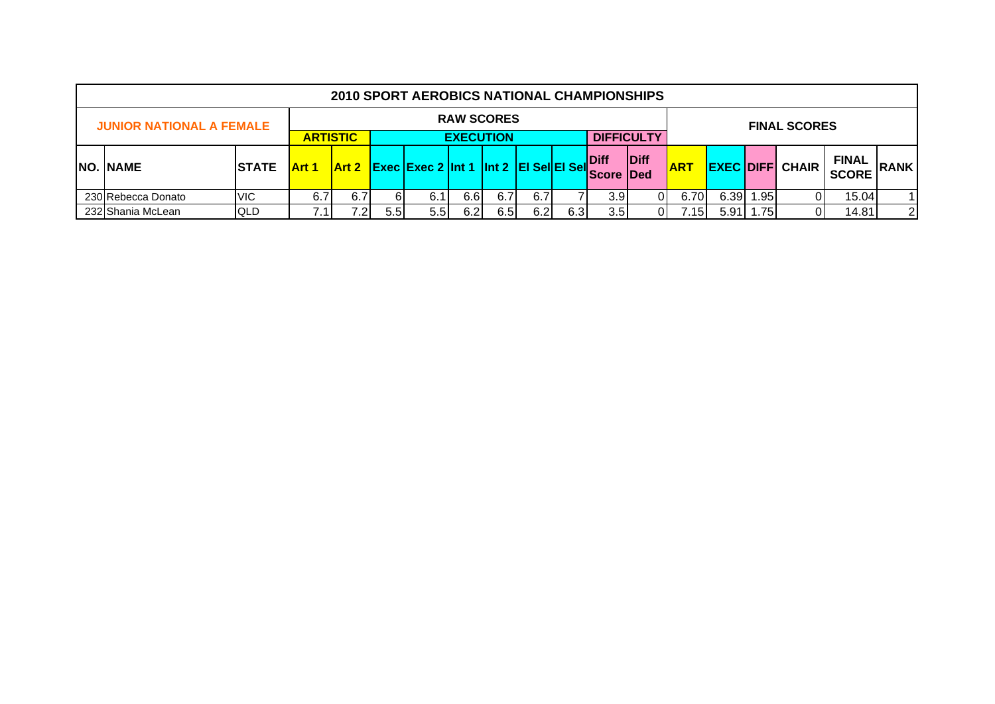|                                                          |              |                                                                                                       |     |                                                      | <b>2010 SPORT AEROBICS NATIONAL CHAMPIONSHIPS</b> |                   |     |     |                                  |                  |            |       |                |                        |                              |             |                |
|----------------------------------------------------------|--------------|-------------------------------------------------------------------------------------------------------|-----|------------------------------------------------------|---------------------------------------------------|-------------------|-----|-----|----------------------------------|------------------|------------|-------|----------------|------------------------|------------------------------|-------------|----------------|
| <b>JUNIOR NATIONAL A FEMALE</b>                          |              |                                                                                                       |     |                                                      |                                                   | <b>RAW SCORES</b> |     |     |                                  |                  |            |       |                |                        | <b>FINAL SCORES</b>          |             |                |
| <b>DIFFICULTY</b><br><b>ARTISTIC</b><br><b>EXECUTION</b> |              |                                                                                                       |     |                                                      |                                                   |                   |     |     |                                  |                  |            |       |                |                        |                              |             |                |
| NO. NAME                                                 | <b>Art 1</b> |                                                                                                       |     | $\vert$ Art 2 Exec Exec 2 Int 1 Int 2 EI SellEI Sell |                                                   |                   |     |     | <b>Diff</b><br><b>Score IDed</b> | <b>Diff</b>      | <b>ART</b> |       |                | <b>EXEC DIFF CHAIR</b> | <b>FINAL</b><br><b>SCORE</b> | <b>RANK</b> |                |
| 230 Rebecca Donato                                       | <b>VIC</b>   | 6.7                                                                                                   | 6.7 | 61                                                   | -6.1                                              | 6.6               | 6.7 | 6.7 |                                  | 3.9 <sub>l</sub> |            | 6.70  | 6.39           | .951                   |                              | 15.04       | $\overline{1}$ |
| 232 Shania McLean                                        | <b>QLD</b>   | 5.5<br>6.5<br>6.2<br>6.3<br>.751<br>5.5 <sub>1</sub><br>6.2<br>3.5<br>5.91<br>7.15 <sub>1</sub><br>01 |     |                                                      |                                                   |                   |     |     |                                  |                  |            | 14.81 | $\overline{2}$ |                        |                              |             |                |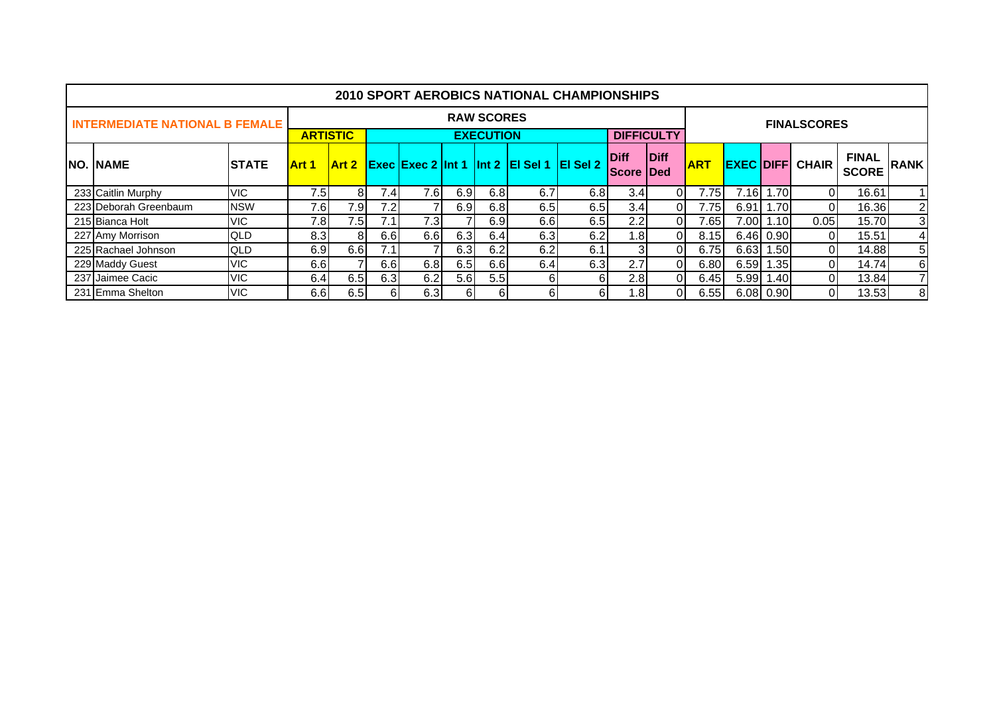|                                       |              |                 |              |      |      |     |                   |                                           | <b>2010 SPORT AEROBICS NATIONAL CHAMPIONSHIPS</b> |                                   |                   |            |          |             |                        |                              |                |
|---------------------------------------|--------------|-----------------|--------------|------|------|-----|-------------------|-------------------------------------------|---------------------------------------------------|-----------------------------------|-------------------|------------|----------|-------------|------------------------|------------------------------|----------------|
| <b>INTERMEDIATE NATIONAL B FEMALE</b> |              |                 |              |      |      |     | <b>RAW SCORES</b> |                                           |                                                   |                                   |                   |            |          |             | <b>FINALSCORES</b>     |                              |                |
|                                       |              | <b>ARTISTIC</b> |              |      |      |     | <b>EXECUTION</b>  |                                           |                                                   |                                   | <b>DIFFICULTY</b> |            |          |             |                        |                              |                |
| <b>NO. NAME</b>                       | <b>STATE</b> | Art 1           | <b>Art 2</b> |      |      |     |                   | Exec Exec 2 Int 1 Int 2 EI Sel 1 EI Sel 2 |                                                   | <b>Diff</b><br><b>IScore IDed</b> | Diff              | <b>ART</b> |          |             | <b>EXEC DIFF CHAIR</b> | <b>FINAL</b><br><b>SCORE</b> | <b>RANK</b>    |
| 233 Caitlin Murphy                    | VIC.         | 7.5             | 81           | 7.4  | 7.6  | 6.9 | 6.8               | 6.7                                       | 6.8                                               | 3.4                               |                   | 7.75       |          | 7.16 1.70   | 0                      | 16.61                        |                |
| 223 Deborah Greenbaum                 | <b>NSW</b>   | 7.6             | 7.9          | 7.2  |      | 6.9 | 6.8               | 6.5                                       | 6.5                                               | 3.4                               | ΩI                | 7.75       | 6.91     | 1.70        | 0                      | 16.36                        | $\overline{c}$ |
| 215 Bianca Holt                       | VIC.         | 7.8             | 7.5          | 7.1  | 7.3I |     | 6.9               | 6.61                                      | 6.5                                               | 2.2                               |                   | 7.65I      |          | 7.00 1.10   | 0.05                   | 15.70                        | 3              |
| 227 Amy Morrison                      | <b>QLD</b>   | 8.3             | 81           | 6.61 | 6.6  | 6.3 | 6.4               | 6.3                                       | 6.2                                               | 1.8 <sub>l</sub>                  |                   | 8.15       |          | $6.46$ 0.90 | 0                      | 15.51                        | 4              |
| 225 Rachael Johnson                   | <b>QLD</b>   | 6.9             | 6.6          | 7.1  |      | 6.3 | 6.2               | 6.2                                       | 6.1                                               | 31                                |                   | 6.75       |          | $6.63$ 1.50 | $\overline{0}$         | 14.88                        | 5              |
| 229 Maddy Guest                       | VIC.         | 6.6             |              | 6.61 | 6.8  | 6.5 | 6.6               | 6.4                                       | 6.3                                               | 2.7                               |                   | 6.80       | 6.59     | 1.35        | 01                     | 14.74                        | 6              |
| 237 Jaimee Cacic                      | VIC.         | 6.4             | 6.5          | 6.3  | 6.2  | 5.6 | 5.5               | 61                                        | 6                                                 | 2.8                               |                   | 6.45       | $5.99$ 1 | .401        | $\overline{0}$         | 13.84                        | $\overline{7}$ |
| 231 Emma Shelton                      | VIC.         | 6.6             | 6.5          | 61   | 6.3  | 61  | 61                | 61                                        | 61                                                | 1.8I                              |                   | 6.55       |          | $6.08$ 0.90 | 0                      | 13.53                        | 8              |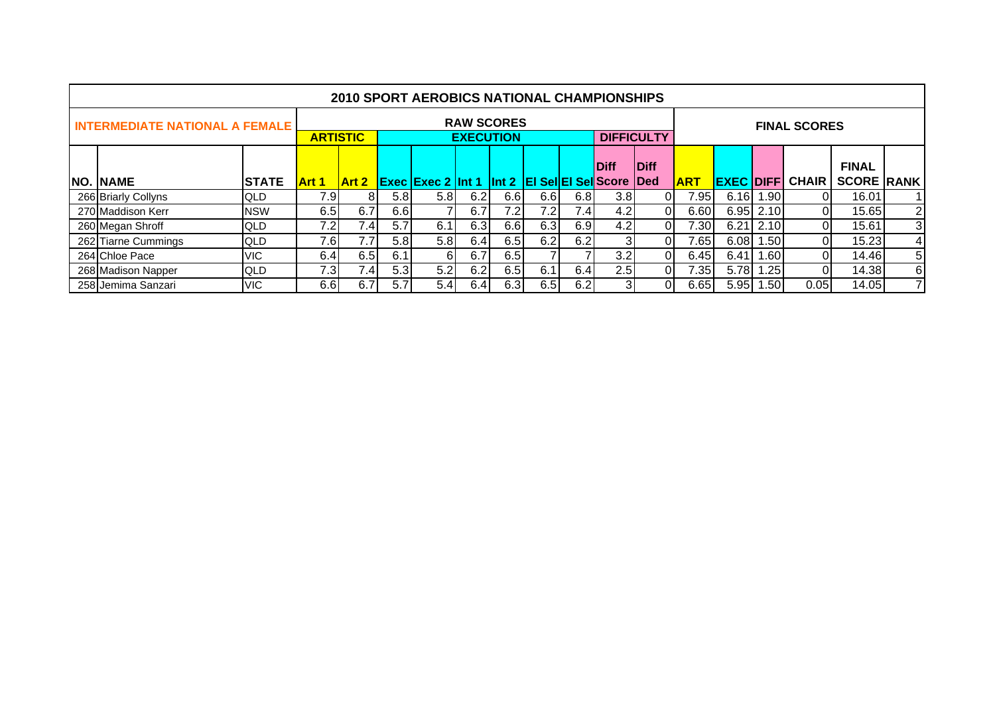|                                       |              |              |                                                                                                           |                  | <b>2010 SPORT AEROBICS NATIONAL CHAMPIONSHIPS</b> |     |                   |                  |      |                   |             |            |                  |                   |                     |                   |                |
|---------------------------------------|--------------|--------------|-----------------------------------------------------------------------------------------------------------|------------------|---------------------------------------------------|-----|-------------------|------------------|------|-------------------|-------------|------------|------------------|-------------------|---------------------|-------------------|----------------|
| <b>INTERMEDIATE NATIONAL A FEMALE</b> |              |              |                                                                                                           |                  |                                                   |     | <b>RAW SCORES</b> |                  |      | <b>DIFFICULTY</b> |             |            |                  |                   | <b>FINAL SCORES</b> |                   |                |
|                                       |              |              | <b>ARTISTIC</b><br><b>EXECUTION</b><br><b>Exec Exec 2 Int 1 Int 2 EI Sel EI Sel Score</b><br><b>Art 2</b> |                  |                                                   |     |                   |                  |      | <b>Diff</b>       | Diff        |            |                  |                   |                     | <b>FINAL</b>      |                |
| <b>NO. NAME</b>                       | <b>STATE</b> | <b>Art 1</b> |                                                                                                           |                  |                                                   |     |                   |                  |      |                   | <b>IDed</b> | <b>ART</b> | <b>EXEC DIFF</b> |                   | <b>CHAIR</b>        | <b>SCORE RANK</b> |                |
| 266 Briarly Collyns                   | <b>QLD</b>   | 7.9          | 81                                                                                                        | 5.81             | 5.8 <sub>1</sub>                                  | 6.2 | 6.6               | 6.6              | 6.8I | 3.8               |             | 95۱.'      | 6.16I            | 1.90 <sub>1</sub> |                     | 16.01             |                |
| 270 Maddison Kerr                     | <b>NSW</b>   | 6.5          | 6.7                                                                                                       | 6.6              |                                                   | 6.7 | 7.2               | 7.2I             | 7.4  | 4.2               |             | 6.60       |                  | $6.95$ 2.10       | $\overline{0}$      | 15.65             | $\overline{2}$ |
| 260 Megan Shroff                      | <b>QLD</b>   | 7.2          | 7.41                                                                                                      | 5.7              | 6.1                                               | 6.3 | 6.6               | 6.3 <sub>1</sub> | 6.91 | 4.2               | 01          | 7.30       | 6.21             | 2.10              | 01                  | 15.61             | 3              |
| 262 Tiarne Cummings                   | <b>QLD</b>   | 7.6I         | 7.7                                                                                                       | 5.81             | 5.8                                               | 6.4 | 6.5               | 6.21             | 6.2  | 31                |             | 7.651      | 6.08             | .50               | 01                  | 15.23             | $\overline{4}$ |
| 264 Chloe Pace                        | <b>VIC</b>   | 6.4          | 6.5                                                                                                       | 6.1              | 61                                                | 6.7 | 6.51              |                  |      | 3.2               | 01          | 6.45       | 6.41             | ا60. ا            | 01                  | 14.46             | 5              |
| 268 Madison Napper                    | QLD          | 7.31         | 7.4 <sub>1</sub>                                                                                          | 5.3 <sub>1</sub> | 5.2                                               | 6.2 | 6.5               | 6.1              | 6.41 | 2.5               |             | 35۱.'      | 5.78             | .25               | ΩI                  | 14.38             | 6              |
| 258 Jemima Sanzari                    | <b>VIC</b>   | 6.6I         | 6.7                                                                                                       | 5.71             | 5.4                                               | 6.4 | 6.3               | 6.51             | 6.21 |                   | ΩI          | 6.65       | 5.95             | .501              | 0.05                | 14.05             |                |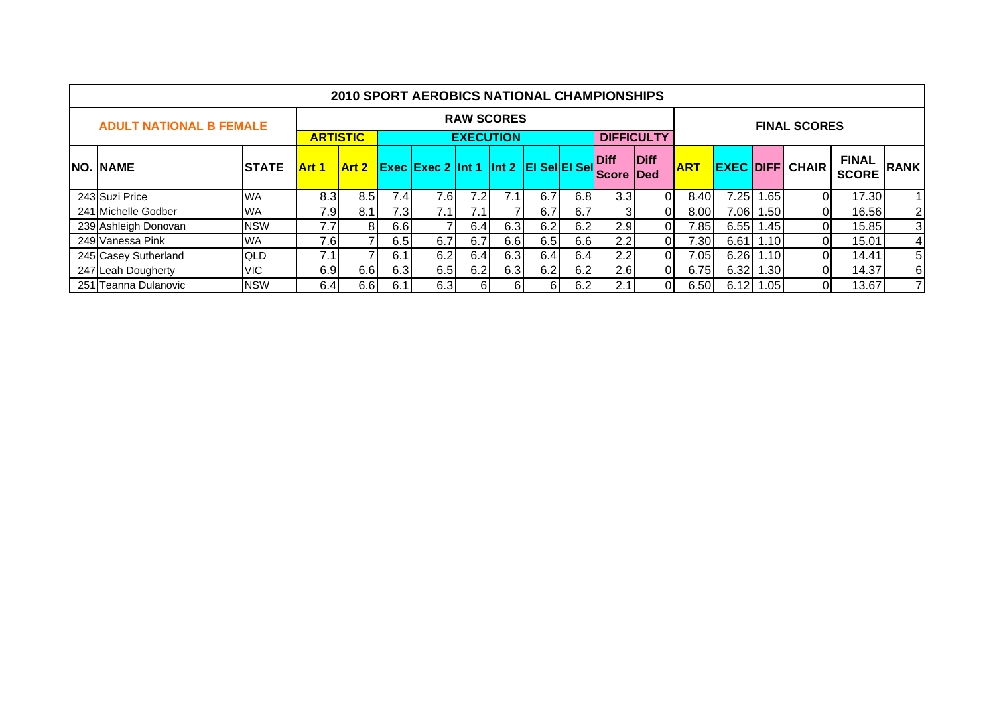|                                |              |                                                                                                                                                                                                                                      |                |     | <b>2010 SPORT AEROBICS NATIONAL CHAMPIONSHIPS</b> |                  |                   |     |     |                  |    |                |                              |                  |                     |       |   |
|--------------------------------|--------------|--------------------------------------------------------------------------------------------------------------------------------------------------------------------------------------------------------------------------------------|----------------|-----|---------------------------------------------------|------------------|-------------------|-----|-----|------------------|----|----------------|------------------------------|------------------|---------------------|-------|---|
| <b>ADULT NATIONAL B FEMALE</b> |              |                                                                                                                                                                                                                                      |                |     |                                                   |                  | <b>RAW SCORES</b> |     |     |                  |    |                |                              |                  | <b>FINAL SCORES</b> |       |   |
| <b>NO. NAME</b>                | <b>STATE</b> | <b>DIFFICULTY</b><br><b>ARTISTIC</b><br><b>EXECUTION</b><br>Diff<br><b>Diff</b><br><b>Art 2</b> Exec Exec 2 Int 1 Int 2 EI Sel EI Sell<br><b>ART</b><br><b>EXEC DIFF CHAIR</b><br><b>Art 1</b><br><b>IScore</b><br><b>IDed</b><br>01 |                |     |                                                   |                  |                   |     |     |                  |    |                | <b>FINAL</b><br><b>SCORE</b> | <b>RANK</b>      |                     |       |   |
| 243 Suzi Price                 | <b>WA</b>    | 8.3                                                                                                                                                                                                                                  | 8.5            | 7.4 | 7.6                                               | 7.2 <sub>1</sub> |                   | 6.7 | 6.8 | 3.3 <sub>l</sub> |    | 8.40           | 7.25                         | .65              | 01                  | 17.30 |   |
| 241 Michelle Godber            | <b>WA</b>    | 7.9                                                                                                                                                                                                                                  | 8.1            | 7.3 | 7.1                                               | 7.1              |                   | 6.7 | 6.7 |                  | 01 | 8.00           | 7.06                         | 1.50             | 01                  | 16.56 | 2 |
| 239 Ashleigh Donovan           | <b>NSW</b>   | 7.7                                                                                                                                                                                                                                  | 8 <sub>1</sub> | 6.6 |                                                   | 6.4              | 6.3               | 6.2 | 6.2 | 2.9              | ΟI | 7.85           | 6.55                         | 1.45             | ΟI                  | 15.85 | 3 |
| 249 Vanessa Pink               | <b>WA</b>    | 7.6                                                                                                                                                                                                                                  |                | 6.5 | 6.7                                               | 6.7              | 6.6               | 6.5 | 6.6 | 2.2              | ΟI | $^{\prime}.30$ | 6.61                         | 1.101            | ΟI                  | 15.01 | 4 |
| 245 Casey Sutherland           | QLD          | 7.1                                                                                                                                                                                                                                  |                | 6.1 | 6.2                                               | 6.4              | 6.3               | 6.4 | 6.4 | 2.2              | 01 | .05            | 6.26                         | 1.101            | 01                  | 14.41 | 5 |
| 247 Leah Dougherty             | <b>VIC</b>   | 6.9                                                                                                                                                                                                                                  | 6.6            | 6.3 | 6.5                                               | 6.2              | 6.3               | 6.2 | 6.2 | 2.6              | 01 | 6.75           | 6.32                         | .30 <sub>1</sub> | 01                  | 14.37 | 6 |
| 251 Teanna Dulanovic           | <b>NSW</b>   | 6.4                                                                                                                                                                                                                                  | 6.6            | 6.1 | 6.3                                               | 61               |                   | 61  | 6.2 | 2.1              | ΟI | 6.50           | 6.12                         | 1.05             | 01                  | 13.67 | 7 |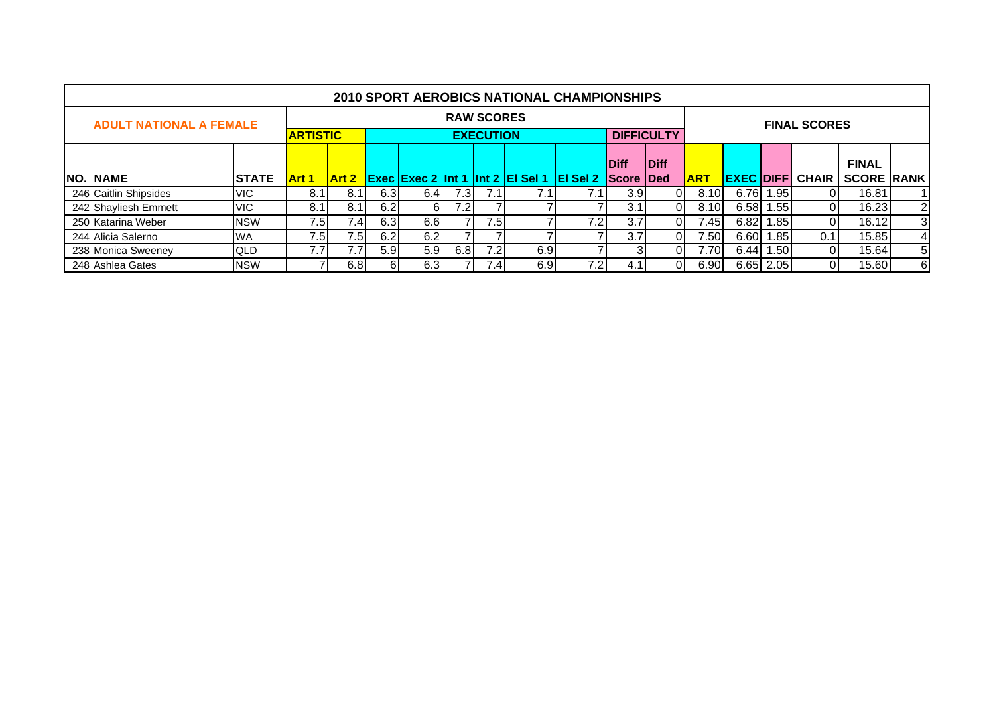|                                |              |                 |               |      |                  |      |                   |                                                  | <b>2010 SPORT AEROBICS NATIONAL CHAMPIONSHIPS</b> |                  |                   |            |      |           |                        |                   |                |
|--------------------------------|--------------|-----------------|---------------|------|------------------|------|-------------------|--------------------------------------------------|---------------------------------------------------|------------------|-------------------|------------|------|-----------|------------------------|-------------------|----------------|
| <b>ADULT NATIONAL A FEMALE</b> |              |                 |               |      |                  |      | <b>RAW SCORES</b> |                                                  |                                                   |                  |                   |            |      |           | <b>FINAL SCORES</b>    |                   |                |
|                                |              | <b>ARTISTIC</b> |               |      |                  |      | <b>EXECUTION</b>  |                                                  |                                                   |                  | <b>DIFFICULTY</b> |            |      |           |                        |                   |                |
|                                |              |                 |               |      |                  |      |                   |                                                  |                                                   | <b>Diff</b>      | <b>Diff</b>       |            |      |           |                        | <b>FINAL</b>      |                |
| <b>NO. NAME</b>                | <b>STATE</b> | <b>Art 1</b>    | <b>IArt 2</b> |      |                  |      |                   | <b>Exec Exec 2 Int 1 Int 2 EI Sel 1 EI Sel 2</b> |                                                   | <b>Score Ded</b> |                   | <b>ART</b> |      |           | <b>EXEC DIFF CHAIR</b> | <b>SCORE RANK</b> |                |
| 246 Caitlin Shipsides          | VIC.         | 8.              | 8.1           | 6.3  | 6.4              | 7.3I | 7.1               |                                                  |                                                   | 3.9              |                   | 8.10       | 6.76 | 1.95      |                        | 16.81             |                |
| 242 Shayliesh Emmett           | VIC.         | 8.1             | 8.1           | 6.2  | 61               | 7.2  |                   |                                                  |                                                   | 3.1              | ΩI                | 8.10       | 6.58 | 1.55      |                        | 16.23             | $\overline{2}$ |
| 250 Katarina Weber             | <b>NSW</b>   | 7.5             | 7.41          | 6.3  | 6.61             |      | 7.5               |                                                  | 7.2                                               | 3.7              |                   | 7.45       | 6.82 | 1.85      |                        | 16.12             | 3              |
| 244 Alicia Salerno             | <b>WA</b>    | 7.5             | 7.5           | 6.2  | 6.2              |      |                   |                                                  |                                                   | 3.7              |                   | 7.50       | 6.60 | 1.85      | 0.1                    | 15.85             | $\overline{4}$ |
| 238 Monica Sweenev             | <b>QLD</b>   | 7.7             | 7.7           | 5.91 | 5.9 <sub>l</sub> | 6.8  | 7.2               | 6.9                                              |                                                   |                  |                   | 7.70       | 6.44 | 1.501     |                        | 15.64             | 5              |
| 248 Ashlea Gates               | <b>NSW</b>   |                 | 6.8           | 61   | 6.3              |      | 4. 4              | 6.9                                              | 7.21                                              | 4.1              |                   | 6.90       |      | 6.65 2.05 |                        | 15.60             | 6              |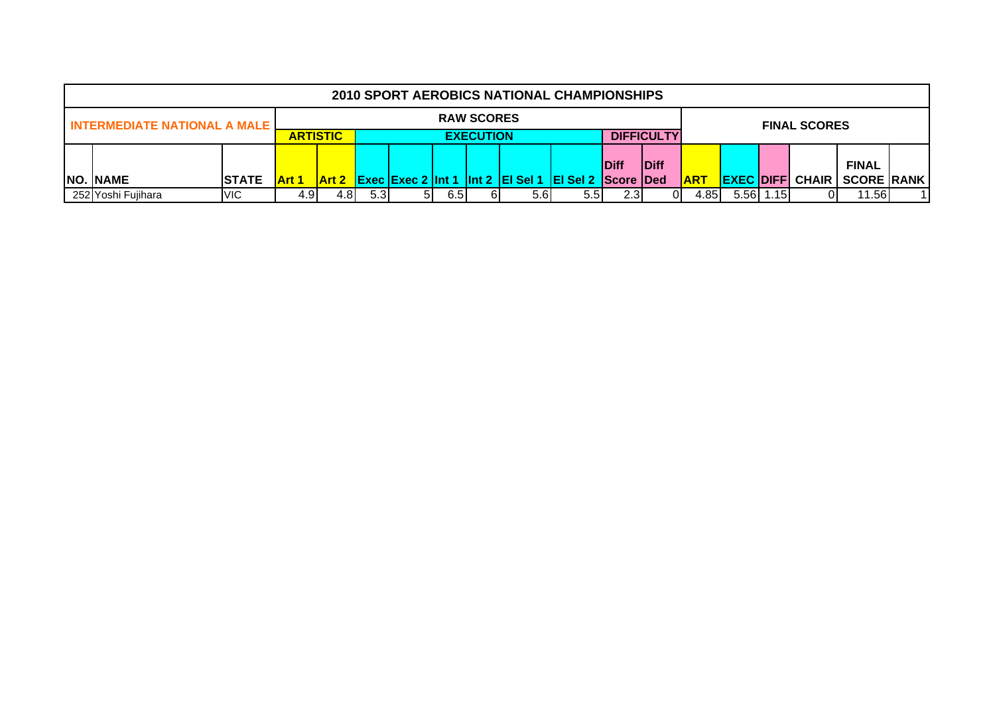|                                       |               |                 |                                                                                      |     |    |     |                   | <b>2010 SPORT AEROBICS NATIONAL CHAMPIONSHIPS</b> |                   |       |      |            |  |       |                        |                   |  |
|---------------------------------------|---------------|-----------------|--------------------------------------------------------------------------------------|-----|----|-----|-------------------|---------------------------------------------------|-------------------|-------|------|------------|--|-------|------------------------|-------------------|--|
| <b>INTERMEDIATE NATIONAL A MALE I</b> |               |                 |                                                                                      |     |    |     | <b>RAW SCORES</b> |                                                   |                   |       |      |            |  |       | <b>FINAL SCORES</b>    |                   |  |
|                                       |               | <b>ARTISTIC</b> |                                                                                      |     |    |     | <b>EXECUTION</b>  |                                                   | <b>DIFFICULTY</b> |       |      |            |  |       |                        |                   |  |
|                                       |               |                 |                                                                                      |     |    |     |                   |                                                   |                   |       |      |            |  |       |                        |                   |  |
|                                       |               |                 | <b>IDiff</b><br><b>IDiff</b>                                                         |     |    |     |                   |                                                   |                   |       |      |            |  |       |                        | <b>FINAL</b>      |  |
| <b>NO. NAME</b>                       | <b>ISTATE</b> | Art 1           | Art 2 Exec Exec 2 Int 1 Int 2 EI Sel 1 EI Sel 2 Score Ded<br>5.5 <sub>1</sub><br>2.3 |     |    |     |                   |                                                   |                   |       |      | <b>ART</b> |  |       | <b>EXEC DIFF CHAIR</b> | <b>SCORE RANK</b> |  |
| 252 Yoshi Fujihara                    | <b>VIC</b>    | 4.9             | 4.8I                                                                                 | 5.3 | 51 | 6.5 |                   | 5.6                                               | ЭI                | 4.85I | 5.56 | 1.15       |  | 11.56 |                        |                   |  |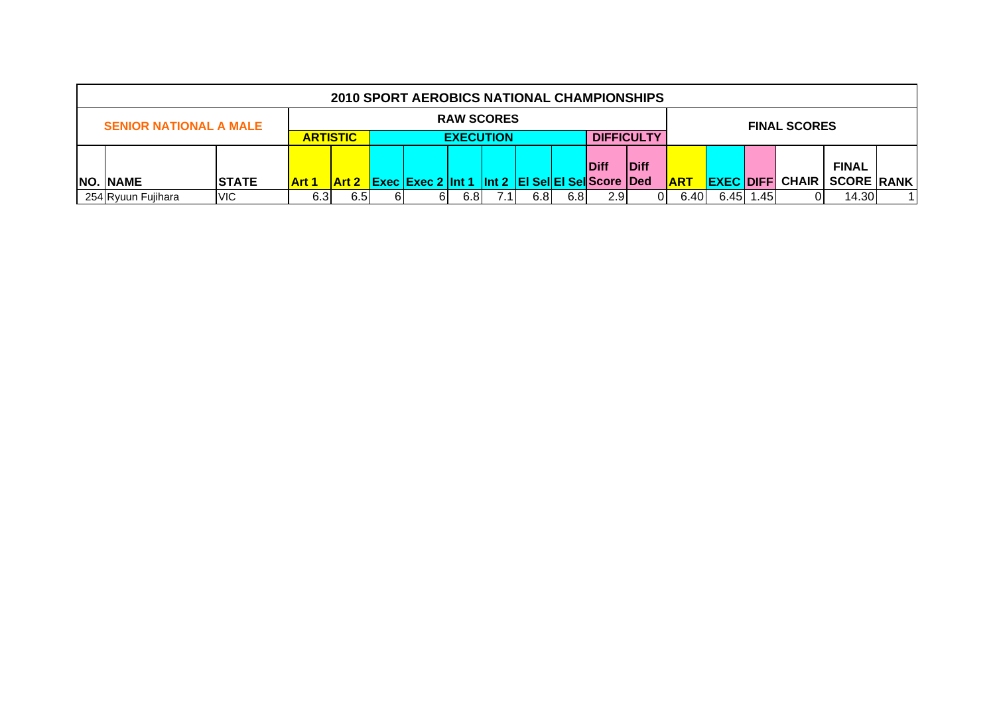|                               |              |              |                                                              |    | <b>2010 SPORT AEROBICS NATIONAL CHAMPIONSHIPS</b> |                   |                |     |      |             |              |             |       |                        |                   |  |
|-------------------------------|--------------|--------------|--------------------------------------------------------------|----|---------------------------------------------------|-------------------|----------------|-----|------|-------------|--------------|-------------|-------|------------------------|-------------------|--|
| <b>SENIOR NATIONAL A MALE</b> |              |              |                                                              |    |                                                   | <b>RAW SCORES</b> |                |     |      |             |              |             |       | <b>FINAL SCORES</b>    |                   |  |
|                               |              |              |                                                              |    |                                                   |                   |                |     |      |             |              |             |       |                        |                   |  |
|                               |              |              | <b>DIFFICULTY</b><br><b>EXECUTION</b><br><b>ARTISTIC</b>     |    |                                                   |                   |                |     |      |             |              |             |       |                        |                   |  |
|                               |              |              |                                                              |    |                                                   |                   |                |     |      | <b>Diff</b> | <b>IDiff</b> |             |       |                        | <b>FINAL</b>      |  |
| <b>NO. NAME</b>               | <b>STATE</b> | <b>Art 1</b> | <b>Art 2</b> Exec Exec 2 Int 1 Int 2 EI Sel EI Sel Score Ded |    |                                                   |                   |                |     |      |             |              | <u> ART</u> |       | <b>EXEC DIFF CHAIR</b> | <b>SCORE RANK</b> |  |
| 254 Ryuun Fujihara            | <b>VIC</b>   | 6.3          | 6.5I                                                         | 61 | ь.                                                | 6.8               | $^{\prime}$ .1 | 6.8 | 2.91 | 6.40        | 6.45 1.45    |             | 14.30 |                        |                   |  |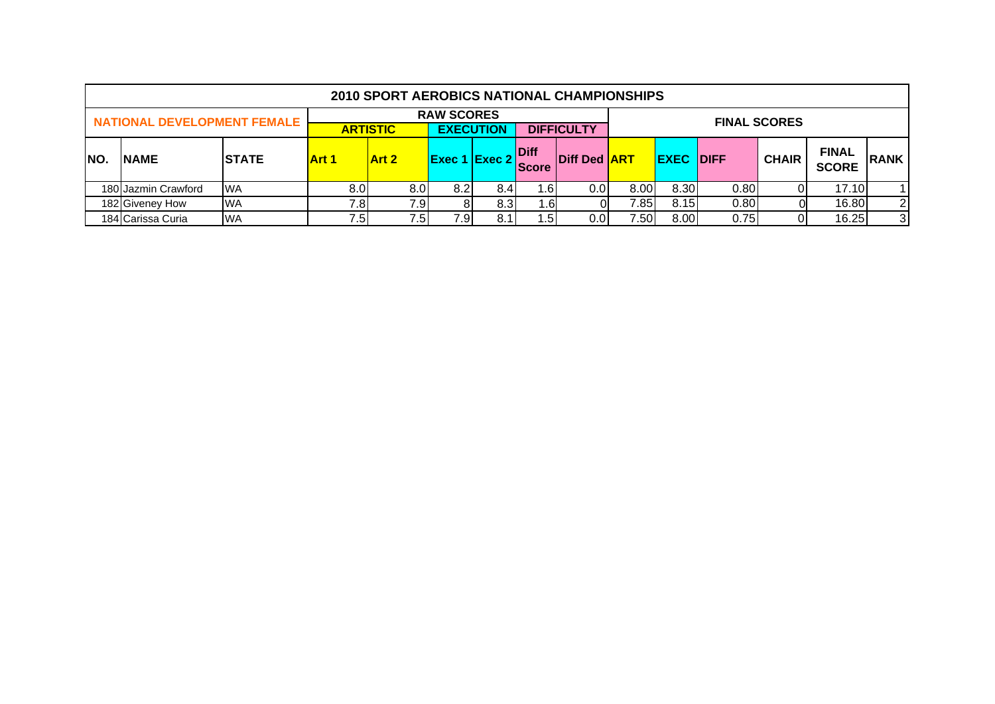|      |                                    |               |       | <b>2010 SPORT AEROBICS NATIONAL CHAMPIONSHIPS</b> |                   |     |                        |                     |       |                  |      |                     |                              |             |
|------|------------------------------------|---------------|-------|---------------------------------------------------|-------------------|-----|------------------------|---------------------|-------|------------------|------|---------------------|------------------------------|-------------|
|      | <b>NATIONAL DEVELOPMENT FEMALE</b> |               |       |                                                   | <b>RAW SCORES</b> |     |                        |                     |       |                  |      | <b>FINAL SCORES</b> |                              |             |
|      |                                    |               |       | <b>ARTISTIC</b>                                   | <b>EXECUTION</b>  |     |                        | <b>DIFFICULTY</b>   |       |                  |      |                     |                              |             |
| INO. | <b>NAME</b>                        | <b>ISTATE</b> | Art 1 | Art 2                                             | $Exec 1$ Exec 2   |     | <b>IDiff</b><br>lScore | <b>Diff Ded ART</b> |       | <b>EXEC DIFF</b> |      | <b>CHAIR</b>        | <b>FINAL</b><br><b>SCORE</b> | <b>RANK</b> |
|      | 180 Jazmin Crawford                | <b>WA</b>     | 8.0   | 8.0                                               | 8.2               | 8.4 | . 61                   | 0.01                | 8.00  | 8.30             | 0.80 |                     | 17.10                        |             |
|      | 182 Giveney How                    | <b>WA</b>     | 7.8   | 7.9                                               |                   | 8.3 | . 61                   |                     | 7.85I | 8.15             | 0.80 |                     | 16.80                        | 2           |
|      | 184 Carissa Curia                  | <b>WA</b>     | 7.5   | 7.5                                               | 7.9I              | 8.1 | 5۱. .                  | 0.01                | 7.50  | 8.00             | 0.75 |                     | 16.25                        | 3           |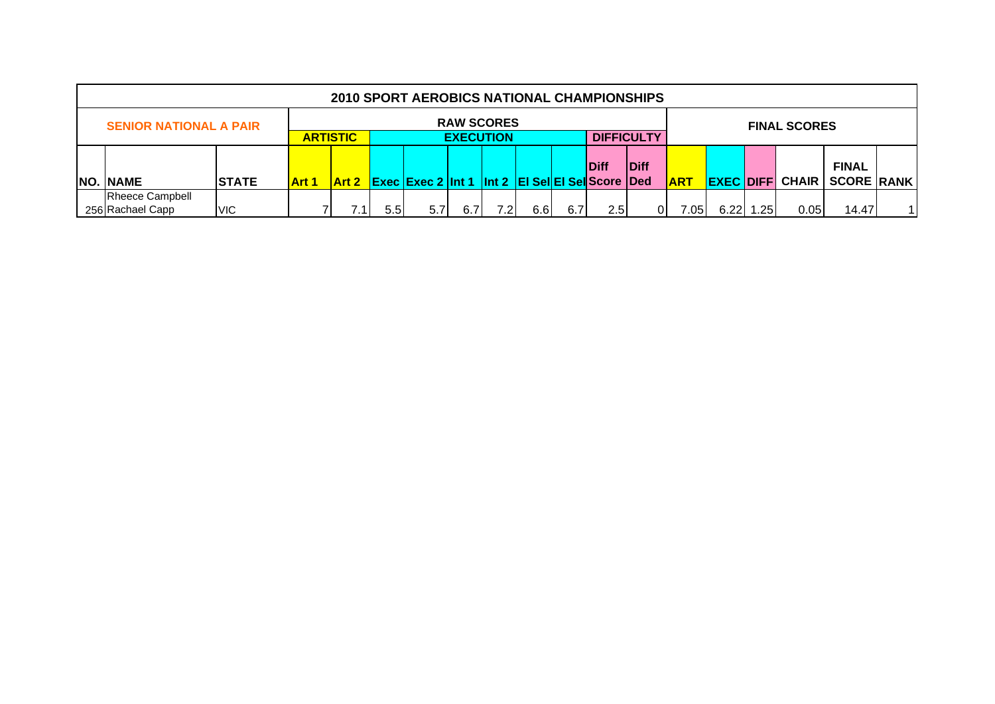| <b>2010 SPORT AEROBICS NATIONAL CHAMPIONSHIPS</b> |                                                          |              |              |                  |                                                |                     |     |     |     |             |              |            |      |                  |                        |                                   |     |
|---------------------------------------------------|----------------------------------------------------------|--------------|--------------|------------------|------------------------------------------------|---------------------|-----|-----|-----|-------------|--------------|------------|------|------------------|------------------------|-----------------------------------|-----|
| <b>SENIOR NATIONAL A PAIR</b>                     |                                                          |              |              |                  | <b>RAW SCORES</b>                              | <b>FINAL SCORES</b> |     |     |     |             |              |            |      |                  |                        |                                   |     |
|                                                   | <b>DIFFICULTY</b><br><b>ARTISTIC</b><br><b>EXECUTION</b> |              |              |                  |                                                |                     |     |     |     |             |              |            |      |                  |                        |                                   |     |
|                                                   |                                                          |              |              |                  |                                                |                     |     |     |     |             |              |            |      |                  |                        |                                   |     |
| <b>NO. NAME</b>                                   | <b>STATE</b>                                             | <b>Art 1</b> | <b>Art 2</b> |                  | Exec Exec 2 Int 1 Int 2 EI SellEI SelScore Ded |                     |     |     |     | <b>Diff</b> | <b>IDiff</b> | <b>ART</b> |      |                  | <b>EXEC DIFF CHAIR</b> | <b>FINAL</b><br><b>SCORE RANK</b> |     |
| <b>Rheece Campbell</b>                            |                                                          |              |              |                  |                                                |                     |     |     |     |             |              |            |      |                  |                        |                                   |     |
| 256 Rachael Capp                                  | <b>VIC</b>                                               |              |              | 5.5 <sub>1</sub> | 5.7                                            | 6.7                 | 7.2 | 6.6 | 6.7 | 2.5         | 01           | 7.051      | 6.22 | .25 <sub>1</sub> | 0.05                   | 14.47                             | 1 I |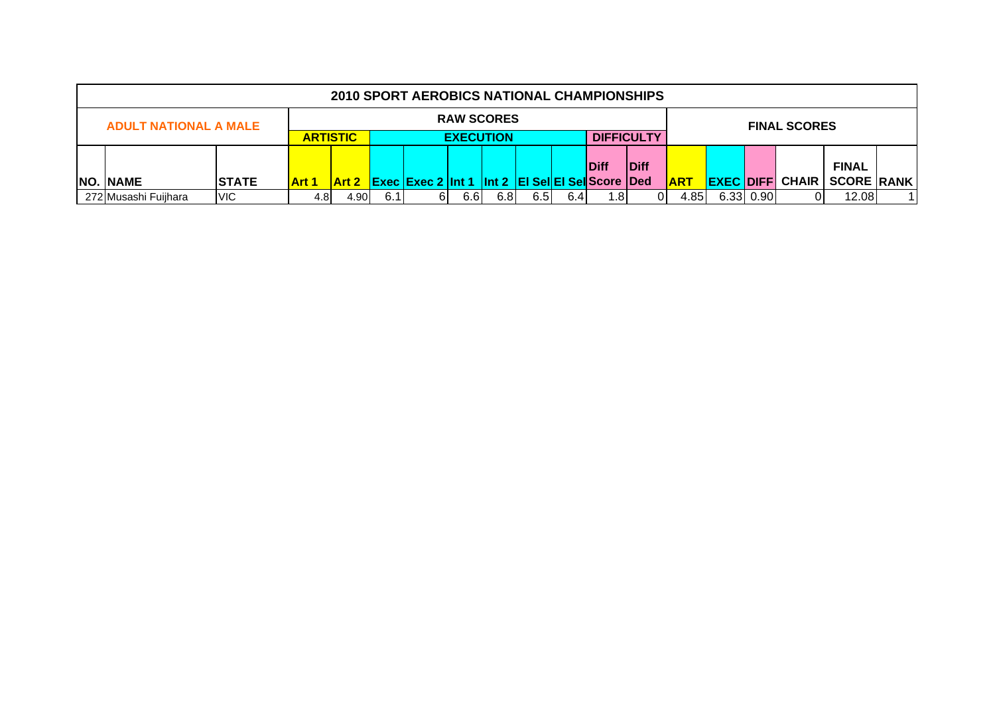| <b>2010 SPORT AEROBICS NATIONAL CHAMPIONSHIPS</b> |              |                                     |      |     |                                                              |                   |                     |      |             |              |                   |            |  |           |                        |                   |  |
|---------------------------------------------------|--------------|-------------------------------------|------|-----|--------------------------------------------------------------|-------------------|---------------------|------|-------------|--------------|-------------------|------------|--|-----------|------------------------|-------------------|--|
| <b>ADULT NATIONAL A MALE</b>                      |              |                                     |      |     |                                                              | <b>RAW SCORES</b> | <b>FINAL SCORES</b> |      |             |              |                   |            |  |           |                        |                   |  |
|                                                   |              | <b>EXECUTION</b><br><b>ARTISTIC</b> |      |     |                                                              |                   |                     |      |             |              | <b>DIFFICULTY</b> |            |  |           |                        |                   |  |
|                                                   |              |                                     |      |     |                                                              |                   |                     |      |             |              |                   |            |  |           |                        |                   |  |
|                                                   |              |                                     |      |     |                                                              |                   |                     |      | <b>Diff</b> | <b>IDiff</b> |                   |            |  |           | <b>FINAL</b>           |                   |  |
| <b>NO. NAME</b>                                   | <b>STATE</b> | <b>Art 1</b>                        |      |     | <b>Art 2 Exec Exec 2 Int 1 Int 2 EI Sel EI Sel Score Ded</b> |                   |                     |      |             |              |                   | <b>ART</b> |  |           | <b>EXEC DIFF CHAIR</b> | <b>SCORE RANK</b> |  |
| 272 Musashi Fuijhara                              | <b>VIC</b>   | 4.8I                                | 4.90 | 6.1 | 6                                                            | 6.6               | 6.8                 | 6.5I | 6.4         | .81          |                   | 4.85I      |  | 6.33 0.90 |                        | 12.08             |  |